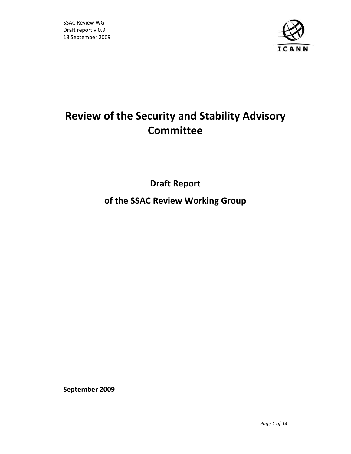

# **Review of the Security and Stability Advisory Committee**

**Draft Report**

**of the SSAC Review Working Group**

**September 2009**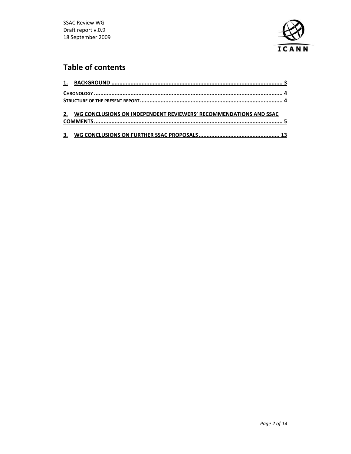

## **Table of contents**

| 2. WG CONCLUSIONS ON INDEPENDENT REVIEWERS' RECOMMENDATIONS AND SSAC |  |
|----------------------------------------------------------------------|--|
|                                                                      |  |
|                                                                      |  |
|                                                                      |  |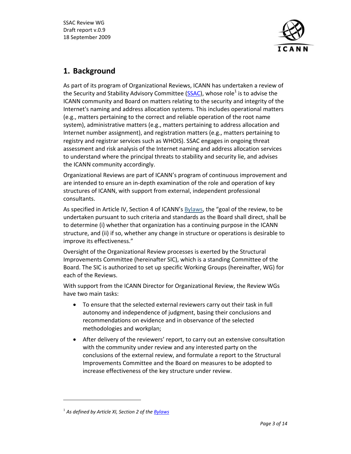

### **1. Background**

As part of its program of Organizational Reviews, ICANN has undertaken a review of the Security and Stability Advisory Committee (SSAC), whose role<sup>1</sup> is to advise the ICANN community and Board on matters relating to the security and integrity of the Internet's naming and address allocation systems. This includes operational matters (e.g., matters pertaining to the correct and reliable operation of the root name system), administrative matters (e.g., matters pertaining to address allocation and Internet number assignment), and registration matters (e.g., matters pertaining to registry and registrar services such as WHOIS). SSAC engages in ongoing threat assessment and risk analysis of the Internet naming and address allocation services to understand where the principal threats to stability and security lie, and advises the ICANN community accordingly.

Organizational Reviews are part of ICANN's program of continuous improvement and are intended to ensure an in‐depth examination of the role and operation of key structures of ICANN, with support from external, independent professional consultants.

As specified in Article IV, Section 4 of ICANN's Bylaws, the "goal of the review, to be undertaken pursuant to such criteria and standards as the Board shall direct, shall be to determine (i) whether that organization has a continuing purpose in the ICANN structure, and (ii) if so, whether any change in structure or operations is desirable to improve its effectiveness."

Oversight of the Organizational Review processes is exerted by the Structural Improvements Committee (hereinafter SIC), which is a standing Committee of the Board. The SIC is authorized to set up specific Working Groups (hereinafter, WG) for each of the Reviews.

With support from the ICANN Director for Organizational Review, the Review WGs have two main tasks:

- To ensure that the selected external reviewers carry out their task in full autonomy and independence of judgment, basing their conclusions and recommendations on evidence and in observance of the selected methodologies and workplan;
- After delivery of the reviewers' report, to carry out an extensive consultation with the community under review and any interested party on the conclusions of the external review, and formulate a report to the Structural Improvements Committee and the Board on measures to be adopted to increase effectiveness of the key structure under review.

<sup>1</sup> *As defined by Article XI, Section 2 of the Bylaws*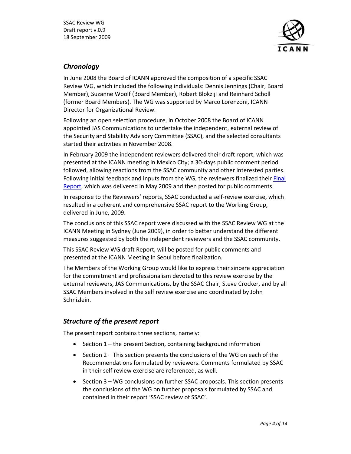

#### *Chronology*

In June 2008 the Board of ICANN approved the composition of a specific SSAC Review WG, which included the following individuals: Dennis Jennings (Chair, Board Member), Suzanne Woolf (Board Member), Robert Blokzijl and Reinhard Scholl (former Board Members). The WG was supported by Marco Lorenzoni, ICANN Director for Organizational Review.

Following an open selection procedure, in October 2008 the Board of ICANN appointed JAS Communications to undertake the independent, external review of the Security and Stability Advisory Committee (SSAC), and the selected consultants started their activities in November 2008.

In February 2009 the independent reviewers delivered their draft report, which was presented at the ICANN meeting in Mexico City; a 30‐days public comment period followed, allowing reactions from the SSAC community and other interested parties. Following initial feedback and inputs from the WG, the reviewers finalized their Final Report, which was delivered in May 2009 and then posted for public comments.

In response to the Reviewers' reports, SSAC conducted a self‐review exercise, which resulted in a coherent and comprehensive SSAC report to the Working Group, delivered in June, 2009.

The conclusions of this SSAC report were discussed with the SSAC Review WG at the ICANN Meeting in Sydney (June 2009), in order to better understand the different measures suggested by both the independent reviewers and the SSAC community.

This SSAC Review WG draft Report, will be posted for public comments and presented at the ICANN Meeting in Seoul before finalization.

The Members of the Working Group would like to express their sincere appreciation for the commitment and professionalism devoted to this review exercise by the external reviewers, JAS Communications, by the SSAC Chair, Steve Crocker, and by all SSAC Members involved in the self review exercise and coordinated by John Schnizlein.

#### *Structure of the present report*

The present report contains three sections, namely:

- Section 1 the present Section, containing background information
- Section 2 This section presents the conclusions of the WG on each of the Recommendations formulated by reviewers. Comments formulated by SSAC in their self review exercise are referenced, as well.
- Section 3 WG conclusions on further SSAC proposals. This section presents the conclusions of the WG on further proposals formulated by SSAC and contained in their report 'SSAC review of SSAC'.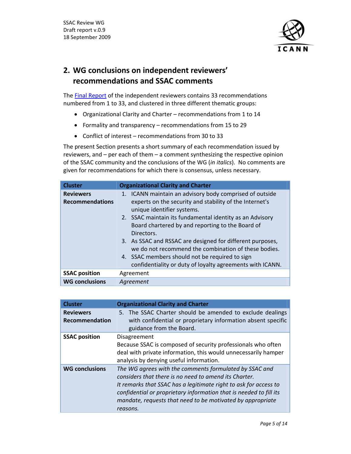

### **2. WG conclusions on independent reviewers' recommendations and SSAC comments**

The Final Report of the independent reviewers contains 33 recommendations numbered from 1 to 33, and clustered in three different thematic groups:

- Organizational Clarity and Charter recommendations from 1 to 14
- Formality and transparency recommendations from 15 to 29
- Conflict of interest recommendations from 30 to 33

The present Section presents a short summary of each recommendation issued by reviewers, and – per each of them – a comment synthesizing the respective opinion of the SSAC community and the conclusions of the WG (*in italics*). No comments are given for recommendations for which there is consensus, unless necessary.

| <b>Cluster</b>                             | <b>Organizational Clarity and Charter</b>                                                                                                                                                                                                                                                                                                                                                                                                                                                                          |
|--------------------------------------------|--------------------------------------------------------------------------------------------------------------------------------------------------------------------------------------------------------------------------------------------------------------------------------------------------------------------------------------------------------------------------------------------------------------------------------------------------------------------------------------------------------------------|
| <b>Reviewers</b><br><b>Recommendations</b> | 1. ICANN maintain an advisory body comprised of outside<br>experts on the security and stability of the Internet's<br>unique identifier systems.<br>2. SSAC maintain its fundamental identity as an Advisory<br>Board chartered by and reporting to the Board of<br>Directors.<br>3. As SSAC and RSSAC are designed for different purposes,<br>we do not recommend the combination of these bodies.<br>4. SSAC members should not be required to sign<br>confidentiality or duty of loyalty agreements with ICANN. |
| <b>SSAC position</b>                       | Agreement                                                                                                                                                                                                                                                                                                                                                                                                                                                                                                          |
| <b>WG conclusions</b>                      | Agreement                                                                                                                                                                                                                                                                                                                                                                                                                                                                                                          |

| <b>Cluster</b>        | <b>Organizational Clarity and Charter</b>                          |
|-----------------------|--------------------------------------------------------------------|
| <b>Reviewers</b>      | 5. The SSAC Charter should be amended to exclude dealings          |
| <b>Recommendation</b> | with confidential or proprietary information absent specific       |
|                       | guidance from the Board.                                           |
| <b>SSAC position</b>  | Disagreement                                                       |
|                       | Because SSAC is composed of security professionals who often       |
|                       | deal with private information, this would unnecessarily hamper     |
|                       | analysis by denying useful information.                            |
| <b>WG conclusions</b> | The WG agrees with the comments formulated by SSAC and             |
|                       | considers that there is no need to amend its Charter.              |
|                       | It remarks that SSAC has a legitimate right to ask for access to   |
|                       | confidential or proprietary information that is needed to fill its |
|                       | mandate, requests that need to be motivated by appropriate         |
|                       | reasons.                                                           |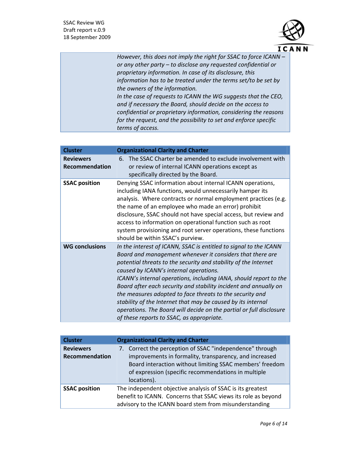

*However, this does not imply the right for SSAC to force ICANN – or any other party – to disclose any requested confidential or proprietary information. In case of its disclosure, this information has to be treated under the terms set/to be set by the owners of the information. In the case of requests to ICANN the WG suggests that the CEO, and if necessary the Board, should decide on the access to confidential or proprietary information, considering the reasons for the request, and the possibility to set and enforce specific terms of access.* 

| <b>Cluster</b>                            | <b>Organizational Clarity and Charter</b>                                                                                                                                                                                                                                                                                                                                                                                                                                                                                                                                                                                            |
|-------------------------------------------|--------------------------------------------------------------------------------------------------------------------------------------------------------------------------------------------------------------------------------------------------------------------------------------------------------------------------------------------------------------------------------------------------------------------------------------------------------------------------------------------------------------------------------------------------------------------------------------------------------------------------------------|
| <b>Reviewers</b><br><b>Recommendation</b> | The SSAC Charter be amended to exclude involvement with<br>6.<br>or review of internal ICANN operations except as<br>specifically directed by the Board.                                                                                                                                                                                                                                                                                                                                                                                                                                                                             |
| <b>SSAC position</b>                      | Denying SSAC information about internal ICANN operations,<br>including IANA functions, would unnecessarily hamper its<br>analysis. Where contracts or normal employment practices (e.g.<br>the name of an employee who made an error) prohibit<br>disclosure, SSAC should not have special access, but review and<br>access to information on operational function such as root<br>system provisioning and root server operations, these functions<br>should be within SSAC's purview.                                                                                                                                               |
| <b>WG conclusions</b>                     | In the interest of ICANN, SSAC is entitled to signal to the ICANN<br>Board and management whenever it considers that there are<br>potential threats to the security and stability of the Internet<br>caused by ICANN's internal operations.<br>ICANN's internal operations, including IANA, should report to the<br>Board after each security and stability incident and annually on<br>the measures adopted to face threats to the security and<br>stability of the Internet that may be caused by its internal<br>operations. The Board will decide on the partial or full disclosure<br>of these reports to SSAC, as appropriate. |

| <b>Cluster</b>                     | <b>Organizational Clarity and Charter</b>                                                                                                                                                                                                            |
|------------------------------------|------------------------------------------------------------------------------------------------------------------------------------------------------------------------------------------------------------------------------------------------------|
| <b>Reviewers</b><br>Recommendation | 7. Correct the perception of SSAC "independence" through<br>improvements in formality, transparency, and increased<br>Board interaction without limiting SSAC members' freedom<br>of expression (specific recommendations in multiple<br>locations). |
| <b>SSAC position</b>               | The independent objective analysis of SSAC is its greatest<br>benefit to ICANN. Concerns that SSAC views its role as beyond<br>advisory to the ICANN board stem from misunderstanding                                                                |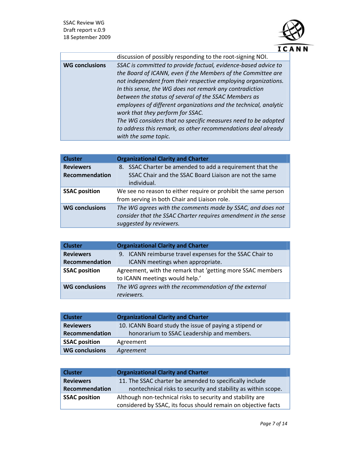

|                       | discussion of possibly responding to the root-signing NOI.       |
|-----------------------|------------------------------------------------------------------|
| <b>WG conclusions</b> | SSAC is committed to provide factual, evidence-based advice to   |
|                       | the Board of ICANN, even if the Members of the Committee are     |
|                       | not independent from their respective employing organizations.   |
|                       | In this sense, the WG does not remark any contradiction          |
|                       | between the status of several of the SSAC Members as             |
|                       | employees of different organizations and the technical, analytic |
|                       | work that they perform for SSAC.                                 |
|                       | The WG considers that no specific measures need to be adopted    |
|                       | to address this remark, as other recommendations deal already    |
|                       | with the same topic.                                             |

| <b>Cluster</b>                            | <b>Organizational Clarity and Charter</b>                                                                                                               |
|-------------------------------------------|---------------------------------------------------------------------------------------------------------------------------------------------------------|
| <b>Reviewers</b><br><b>Recommendation</b> | 8. SSAC Charter be amended to add a requirement that the<br>SSAC Chair and the SSAC Board Liaison are not the same<br>individual.                       |
| <b>SSAC position</b>                      | We see no reason to either require or prohibit the same person<br>from serving in both Chair and Liaison role.                                          |
| <b>WG conclusions</b>                     | The WG agrees with the comments made by SSAC, and does not<br>consider that the SSAC Charter requires amendment in the sense<br>suggested by reviewers. |

| <b>Cluster</b>        | <b>Organizational Clarity and Charter</b>                  |
|-----------------------|------------------------------------------------------------|
| <b>Reviewers</b>      | 9. ICANN reimburse travel expenses for the SSAC Chair to   |
| Recommendation        | ICANN meetings when appropriate.                           |
| <b>SSAC position</b>  | Agreement, with the remark that 'getting more SSAC members |
|                       | to ICANN meetings would help.'                             |
| <b>WG conclusions</b> | The WG agrees with the recommendation of the external      |
|                       | reviewers.                                                 |

| <b>Cluster</b>        | <b>Organizational Clarity and Charter</b>              |
|-----------------------|--------------------------------------------------------|
| <b>Reviewers</b>      | 10. ICANN Board study the issue of paying a stipend or |
| Recommendation        | honorarium to SSAC Leadership and members.             |
| <b>SSAC position</b>  | Agreement                                              |
| <b>WG conclusions</b> | Agreement                                              |

| <b>Cluster</b>       | <b>Organizational Clarity and Charter</b>                      |
|----------------------|----------------------------------------------------------------|
| <b>Reviewers</b>     | 11. The SSAC charter be amended to specifically include        |
| Recommendation       | nontechnical risks to security and stability as within scope.  |
| <b>SSAC position</b> | Although non-technical risks to security and stability are     |
|                      | considered by SSAC, its focus should remain on objective facts |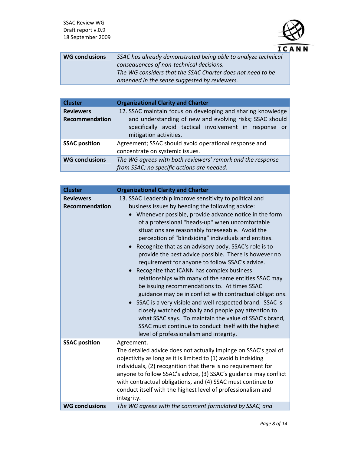

| <b>WG conclusions</b> | SSAC has already demonstrated being able to analyze technical |
|-----------------------|---------------------------------------------------------------|
|                       | consequences of non-technical decisions.                      |
|                       | The WG considers that the SSAC Charter does not need to be    |
|                       | amended in the sense suggested by reviewers.                  |

| <b>Cluster</b>        | <b>Organizational Clarity and Charter</b>                   |
|-----------------------|-------------------------------------------------------------|
| <b>Reviewers</b>      | 12. SSAC maintain focus on developing and sharing knowledge |
| <b>Recommendation</b> | and understanding of new and evolving risks; SSAC should    |
|                       | specifically avoid tactical involvement in response or      |
|                       | mitigation activities.                                      |
| <b>SSAC position</b>  | Agreement; SSAC should avoid operational response and       |
|                       | concentrate on systemic issues.                             |
| <b>WG conclusions</b> | The WG agrees with both reviewers' remark and the response  |
|                       | from SSAC; no specific actions are needed.                  |

| <b>Cluster</b>        | <b>Organizational Clarity and Charter</b>                                                                                                                                                                                                                                                                                                                                                                                                                                                                                                                                                                                                                                                                                                                                                                                                                                                         |
|-----------------------|---------------------------------------------------------------------------------------------------------------------------------------------------------------------------------------------------------------------------------------------------------------------------------------------------------------------------------------------------------------------------------------------------------------------------------------------------------------------------------------------------------------------------------------------------------------------------------------------------------------------------------------------------------------------------------------------------------------------------------------------------------------------------------------------------------------------------------------------------------------------------------------------------|
| <b>Reviewers</b>      | 13. SSAC Leadership improve sensitivity to political and                                                                                                                                                                                                                                                                                                                                                                                                                                                                                                                                                                                                                                                                                                                                                                                                                                          |
| <b>Recommendation</b> | business issues by heeding the following advice:                                                                                                                                                                                                                                                                                                                                                                                                                                                                                                                                                                                                                                                                                                                                                                                                                                                  |
|                       | Whenever possible, provide advance notice in the form<br>of a professional "heads-up" when uncomfortable<br>situations are reasonably foreseeable. Avoid the<br>perception of "blindsiding" individuals and entities.<br>Recognize that as an advisory body, SSAC's role is to<br>provide the best advice possible. There is however no<br>requirement for anyone to follow SSAC's advice.<br>Recognize that ICANN has complex business<br>relationships with many of the same entities SSAC may<br>be issuing recommendations to. At times SSAC<br>guidance may be in conflict with contractual obligations.<br>• SSAC is a very visible and well-respected brand. SSAC is<br>closely watched globally and people pay attention to<br>what SSAC says. To maintain the value of SSAC's brand,<br>SSAC must continue to conduct itself with the highest<br>level of professionalism and integrity. |
| <b>SSAC position</b>  | Agreement.<br>The detailed advice does not actually impinge on SSAC's goal of<br>objectivity as long as it is limited to (1) avoid blindsiding<br>individuals, (2) recognition that there is no requirement for<br>anyone to follow SSAC's advice, (3) SSAC's guidance may conflict<br>with contractual obligations, and (4) SSAC must continue to<br>conduct itself with the highest level of professionalism and<br>integrity.                                                                                                                                                                                                                                                                                                                                                                                                                                                                  |
| <b>WG conclusions</b> | The WG agrees with the comment formulated by SSAC, and                                                                                                                                                                                                                                                                                                                                                                                                                                                                                                                                                                                                                                                                                                                                                                                                                                            |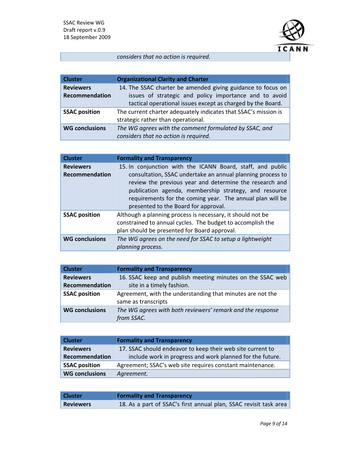

*considers that no action is required.*

| <b>Cluster</b>        | <b>Organizational Clarity and Charter</b>                       |
|-----------------------|-----------------------------------------------------------------|
| <b>Reviewers</b>      | 14. The SSAC charter be amended giving guidance to focus on     |
| Recommendation        | issues of strategic and policy importance and to avoid          |
|                       | tactical operational issues except as charged by the Board.     |
| <b>SSAC position</b>  | The current charter adequately indicates that SSAC's mission is |
|                       | strategic rather than operational.                              |
| <b>WG conclusions</b> | The WG agrees with the comment formulated by SSAC, and          |
|                       | considers that no action is required.                           |

| <b>Cluster</b>        | <b>Formality and Transparency</b>                                                                                                                                                                                                                                                   |
|-----------------------|-------------------------------------------------------------------------------------------------------------------------------------------------------------------------------------------------------------------------------------------------------------------------------------|
| <b>Reviewers</b>      | 15. In conjunction with the ICANN Board, staff, and public                                                                                                                                                                                                                          |
| <b>Recommendation</b> | consultation, SSAC undertake an annual planning process to<br>review the previous year and determine the research and<br>publication agenda, membership strategy, and resource<br>requirements for the coming year. The annual plan will be<br>presented to the Board for approval. |
| <b>SSAC position</b>  | Although a planning process is necessary, it should not be<br>constrained to annual cycles. The budget to accomplish the<br>plan should be presented for Board approval.                                                                                                            |
| <b>WG conclusions</b> | The WG agrees on the need for SSAC to setup a lightweight<br>planning process.                                                                                                                                                                                                      |

| <b>Cluster</b>        | <b>Formality and Transparency</b>                          |
|-----------------------|------------------------------------------------------------|
| <b>Reviewers</b>      | 16. SSAC keep and publish meeting minutes on the SSAC web  |
| <b>Recommendation</b> | site in a timely fashion.                                  |
| <b>SSAC position</b>  | Agreement, with the understanding that minutes are not the |
|                       | same as transcripts                                        |
| <b>WG conclusions</b> | The WG agrees with both reviewers' remark and the response |
|                       | from SSAC.                                                 |

| <b>Cluster</b>        | <b>Formality and Transparency</b>                          |
|-----------------------|------------------------------------------------------------|
| <b>Reviewers</b>      | 17. SSAC should endeavor to keep their web site current to |
| Recommendation        | include work in progress and work planned for the future.  |
| <b>SSAC position</b>  | Agreement; SSAC's web site requires constant maintenance.  |
| <b>WG conclusions</b> | Agreement.                                                 |

| <b>Cluster</b>   | <b>Formality and Transparency</b>                                 |
|------------------|-------------------------------------------------------------------|
| <b>Reviewers</b> | 18. As a part of SSAC's first annual plan, SSAC revisit task area |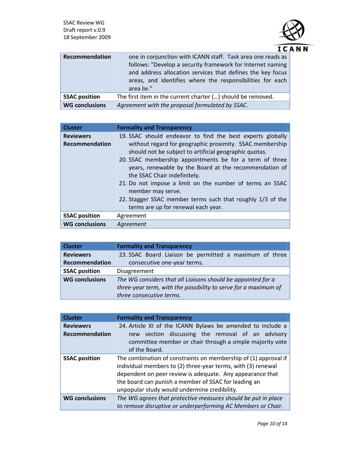

| Recommendation        | one in conjunction with ICANN staff. Task area one reads as |
|-----------------------|-------------------------------------------------------------|
|                       | follows: "Develop a security framework for Internet naming  |
|                       | and address allocation services that defines the key focus  |
|                       | areas, and identifies where the responsibilities for each   |
|                       | area lie."                                                  |
| <b>SSAC position</b>  | The first item in the current charter () should be removed. |
| <b>WG conclusions</b> | Agreement with the proposal formulated by SSAC.             |

| <b>Cluster</b>        | <b>Formality and Transparency</b>                          |
|-----------------------|------------------------------------------------------------|
| <b>Reviewers</b>      | 19. SSAC should endeavor to find the best experts globally |
| Recommendation        | without regard for geographic proximity. SSAC membership   |
|                       | should not be subject to artificial geographic quotas.     |
|                       | 20. SSAC membership appointments be for a term of three    |
|                       | years, renewable by the Board at the recommendation of     |
|                       | the SSAC Chair indefinitely.                               |
|                       | 21. Do not impose a limit on the number of terms an SSAC   |
|                       | member may serve.                                          |
|                       | 22. Stagger SSAC member terms such that roughly 1/3 of the |
|                       | terms are up for renewal each year.                        |
| <b>SSAC position</b>  | Agreement                                                  |
| <b>WG conclusions</b> | Agreement                                                  |

| <b>Cluster</b>        | <b>Formality and Transparency</b>                               |
|-----------------------|-----------------------------------------------------------------|
| <b>Reviewers</b>      | 23. SSAC Board Liaison be permitted a maximum of three          |
| Recommendation        | consecutive one-year terms.                                     |
| <b>SSAC position</b>  | Disagreement                                                    |
| <b>WG conclusions</b> | The WG considers that all Liaisons should be appointed for a    |
|                       | three-year term, with the possibility to serve for a maximum of |
|                       | three consecutive terms.                                        |

| <b>Cluster</b>        | <b>Formality and Transparency</b>                                                                                                                                                                                                                                                                    |
|-----------------------|------------------------------------------------------------------------------------------------------------------------------------------------------------------------------------------------------------------------------------------------------------------------------------------------------|
| <b>Reviewers</b>      | 24. Article XI of the ICANN Bylaws be amended to include a                                                                                                                                                                                                                                           |
| <b>Recommendation</b> | section discussing the removal of an advisory<br>new<br>committee member or chair through a simple majority vote<br>of the Board.                                                                                                                                                                    |
| <b>SSAC position</b>  | The combination of constraints on membership of (1) approval if<br>individual members to (2) three-year terms, with (3) renewal<br>dependent on peer review is adequate. Any appearance that<br>the board can punish a member of SSAC for leading an<br>unpopular study would undermine credibility. |
| <b>WG conclusions</b> | The WG agrees that protective measures should be put in place<br>to remove disruptive or underperforming AC Members or Chair.                                                                                                                                                                        |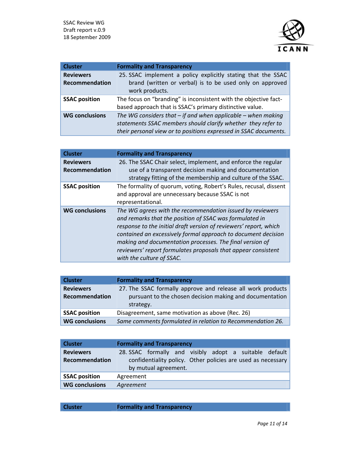

| <b>Cluster</b>        | <b>Formality and Transparency</b>                                          |
|-----------------------|----------------------------------------------------------------------------|
| <b>Reviewers</b>      | 25. SSAC implement a policy explicitly stating that the SSAC               |
| <b>Recommendation</b> | brand (written or verbal) is to be used only on approved<br>work products. |
| <b>SSAC position</b>  | The focus on "branding" is inconsistent with the objective fact-           |
|                       | based approach that is SSAC's primary distinctive value.                   |
| <b>WG conclusions</b> | The WG considers that $-$ if and when applicable $-$ when making           |
|                       | statements SSAC members should clarify whether they refer to               |
|                       | their personal view or to positions expressed in SSAC documents.           |

| <b>Cluster</b>                            | <b>Formality and Transparency</b>                                                                                                                                                                                                                                                                                                                                                                                    |
|-------------------------------------------|----------------------------------------------------------------------------------------------------------------------------------------------------------------------------------------------------------------------------------------------------------------------------------------------------------------------------------------------------------------------------------------------------------------------|
| <b>Reviewers</b><br><b>Recommendation</b> | 26. The SSAC Chair select, implement, and enforce the regular<br>use of a transparent decision making and documentation<br>strategy fitting of the membership and culture of the SSAC.                                                                                                                                                                                                                               |
| <b>SSAC position</b>                      | The formality of quorum, voting, Robert's Rules, recusal, dissent<br>and approval are unnecessary because SSAC is not<br>representational.                                                                                                                                                                                                                                                                           |
| <b>WG conclusions</b>                     | The WG agrees with the recommendation issued by reviewers<br>and remarks that the position of SSAC was formulated in<br>response to the initial draft version of reviewers' report, which<br>contained an excessively formal approach to document decision<br>making and documentation processes. The final version of<br>reviewers' report formulates proposals that appear consistent<br>with the culture of SSAC. |

| <b>Cluster</b>        | <b>Formality and Transparency</b>                           |
|-----------------------|-------------------------------------------------------------|
| <b>Reviewers</b>      | 27. The SSAC formally approve and release all work products |
| Recommendation        | pursuant to the chosen decision making and documentation    |
|                       | strategy.                                                   |
| <b>SSAC position</b>  | Disagreement, same motivation as above (Rec. 26)            |
| <b>WG conclusions</b> | Same comments formulated in relation to Recommendation 26.  |

| <b>Cluster</b>        | <b>Formality and Transparency</b>                            |
|-----------------------|--------------------------------------------------------------|
| <b>Reviewers</b>      | 28. SSAC formally and visibly adopt a suitable default       |
| Recommendation        | confidentiality policy. Other policies are used as necessary |
|                       | by mutual agreement.                                         |
| <b>SSAC position</b>  | Agreement                                                    |
| <b>WG conclusions</b> | Agreement                                                    |

**Cluster Formality and Transparency**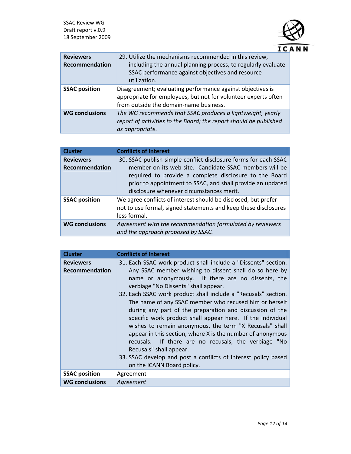

| <b>Reviewers</b><br>Recommendation | 29. Utilize the mechanisms recommended in this review,<br>including the annual planning process, to regularly evaluate<br>SSAC performance against objectives and resource<br>utilization. |
|------------------------------------|--------------------------------------------------------------------------------------------------------------------------------------------------------------------------------------------|
| <b>SSAC position</b>               | Disagreement; evaluating performance against objectives is<br>appropriate for employees, but not for volunteer experts often<br>from outside the domain-name business.                     |
| <b>WG conclusions</b>              | The WG recommends that SSAC produces a lightweight, yearly<br>report of activities to the Board; the report should be published<br>as appropriate.                                         |

| <b>Cluster</b>                            | <b>Conflicts of Interest</b>                                                                                                                                                                                                                                                                  |
|-------------------------------------------|-----------------------------------------------------------------------------------------------------------------------------------------------------------------------------------------------------------------------------------------------------------------------------------------------|
| <b>Reviewers</b><br><b>Recommendation</b> | 30. SSAC publish simple conflict disclosure forms for each SSAC<br>member on its web site. Candidate SSAC members will be<br>required to provide a complete disclosure to the Board<br>prior to appointment to SSAC, and shall provide an updated<br>disclosure whenever circumstances merit. |
| <b>SSAC position</b>                      | We agree conflicts of interest should be disclosed, but prefer<br>not to use formal, signed statements and keep these disclosures<br>less formal.                                                                                                                                             |
| <b>WG conclusions</b>                     | Agreement with the recommendation formulated by reviewers<br>and the approach proposed by SSAC.                                                                                                                                                                                               |

| <b>Cluster</b>                     | <b>Conflicts of Interest</b>                                                                                                                                                                                                                                                                                                                                                                                                                                                                                                                                                                                                                                                             |
|------------------------------------|------------------------------------------------------------------------------------------------------------------------------------------------------------------------------------------------------------------------------------------------------------------------------------------------------------------------------------------------------------------------------------------------------------------------------------------------------------------------------------------------------------------------------------------------------------------------------------------------------------------------------------------------------------------------------------------|
| <b>Reviewers</b><br>Recommendation | 31. Each SSAC work product shall include a "Dissents" section.<br>Any SSAC member wishing to dissent shall do so here by<br>name or anonymously. If there are no dissents, the<br>verbiage "No Dissents" shall appear.<br>32. Each SSAC work product shall include a "Recusals" section.<br>The name of any SSAC member who recused him or herself<br>during any part of the preparation and discussion of the<br>specific work product shall appear here. If the individual<br>wishes to remain anonymous, the term "X Recusals" shall<br>appear in this section, where X is the number of anonymous<br>recusals. If there are no recusals, the verbiage "No<br>Recusals" shall appear. |
|                                    | 33. SSAC develop and post a conflicts of interest policy based<br>on the ICANN Board policy.                                                                                                                                                                                                                                                                                                                                                                                                                                                                                                                                                                                             |
| <b>SSAC position</b>               | Agreement                                                                                                                                                                                                                                                                                                                                                                                                                                                                                                                                                                                                                                                                                |
| <b>WG conclusions</b>              | Agreement                                                                                                                                                                                                                                                                                                                                                                                                                                                                                                                                                                                                                                                                                |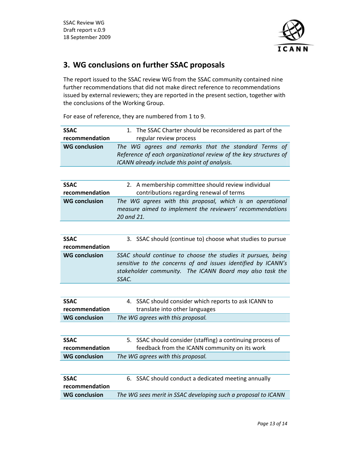

# **3. WG conclusions on further SSAC proposals**

The report issued to the SSAC review WG from the SSAC community contained nine further recommendations that did not make direct reference to recommendations issued by external reviewers; they are reported in the present section, together with the conclusions of the Working Group.

For ease of reference, they are numbered from 1 to 9.

| <b>SSAC</b>          | The SSAC Charter should be reconsidered as part of the<br>1.                                                |
|----------------------|-------------------------------------------------------------------------------------------------------------|
| recommendation       | regular review process                                                                                      |
| <b>WG conclusion</b> | The WG agrees and remarks that the standard Terms of                                                        |
|                      | Reference of each organizational review of the key structures of                                            |
|                      | ICANN already include this point of analysis.                                                               |
|                      |                                                                                                             |
| <b>SSAC</b>          | 2. A membership committee should review individual                                                          |
| recommendation       | contributions regarding renewal of terms                                                                    |
| <b>WG conclusion</b> | The WG agrees with this proposal, which is an operational                                                   |
|                      | measure aimed to implement the reviewers' recommendations                                                   |
|                      | 20 and 21.                                                                                                  |
|                      |                                                                                                             |
| <b>SSAC</b>          | 3. SSAC should (continue to) choose what studies to pursue                                                  |
| recommendation       |                                                                                                             |
| <b>WG conclusion</b> | SSAC should continue to choose the studies it pursues, being                                                |
|                      |                                                                                                             |
|                      | sensitive to the concerns of and issues identified by ICANN's                                               |
|                      | stakeholder community. The ICANN Board may also task the                                                    |
|                      | SSAC.                                                                                                       |
|                      |                                                                                                             |
| <b>SSAC</b>          | 4. SSAC should consider which reports to ask ICANN to                                                       |
| recommendation       | translate into other languages                                                                              |
| <b>WG conclusion</b> | The WG agrees with this proposal.                                                                           |
|                      |                                                                                                             |
| <b>SSAC</b>          |                                                                                                             |
| recommendation       | 5. SSAC should consider (staffing) a continuing process of<br>feedback from the ICANN community on its work |
| <b>WG conclusion</b> |                                                                                                             |
|                      | The WG agrees with this proposal.                                                                           |
| <b>SSAC</b>          |                                                                                                             |
| recommendation       | 6. SSAC should conduct a dedicated meeting annually                                                         |
| <b>WG conclusion</b> | The WG sees merit in SSAC developing such a proposal to ICANN                                               |